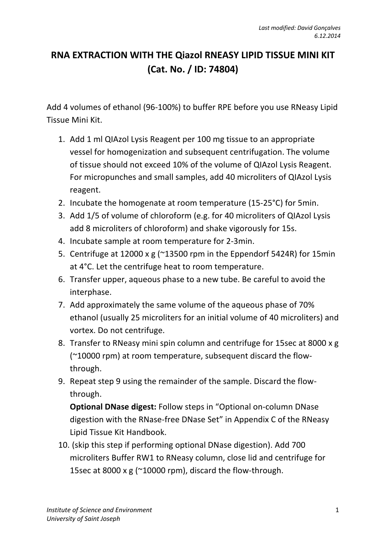## **RNA EXTRACTION WITH THE Qiazol RNEASY LIPID TISSUE MINI KIT (Cat. No. / ID: 74804)**

Add 4 volumes of ethanol (96-100%) to buffer RPE before you use RNeasy Lipid Tissue Mini Kit.

- 1. Add 1 ml QIAzol Lysis Reagent per 100 mg tissue to an appropriate vessel for homogenization and subsequent centrifugation. The volume of tissue should not exceed 10% of the volume of QIAzol Lysis Reagent. For micropunches and small samples, add 40 microliters of QIAzol Lysis reagent.
- 2. Incubate the homogenate at room temperature (15-25°C) for 5min.
- 3. Add 1/5 of volume of chloroform (e.g. for 40 microliters of QIAzol Lysis add 8 microliters of chloroform) and shake vigorously for 15s.
- 4. Incubate sample at room temperature for 2-3min.
- 5. Centrifuge at 12000 x g (~13500 rpm in the Eppendorf 5424R) for 15min at 4°C. Let the centrifuge heat to room temperature.
- 6. Transfer upper, aqueous phase to a new tube. Be careful to avoid the interphase.
- 7. Add approximately the same volume of the aqueous phase of 70% ethanol (usually 25 microliters for an initial volume of 40 microliters) and vortex. Do not centrifuge.
- 8. Transfer to RNeasy mini spin column and centrifuge for 15sec at 8000 x g (~10000 rpm) at room temperature, subsequent discard the flowthrough.
- 9. Repeat step 9 using the remainder of the sample. Discard the flowthrough.

**Optional DNase digest:** Follow steps in "Optional on-column DNase digestion with the RNase-free DNase Set" in Appendix C of the RNeasy Lipid Tissue Kit Handbook.

10. (skip this step if performing optional DNase digestion). Add 700 microliters Buffer RW1 to RNeasy column, close lid and centrifuge for 15sec at 8000 x g (~10000 rpm), discard the flow-through.